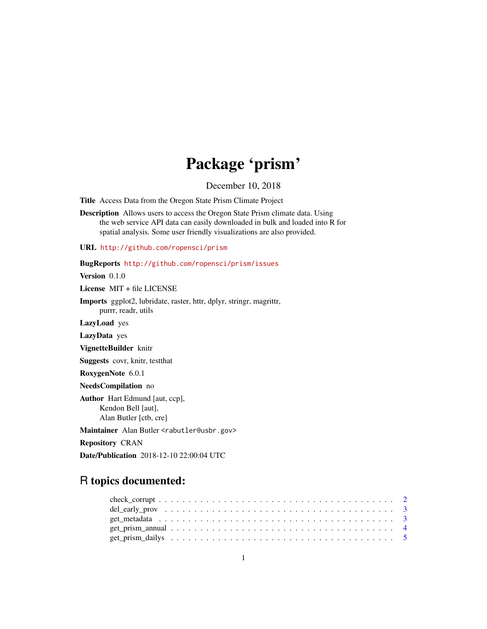# Package 'prism'

December 10, 2018

<span id="page-0-0"></span>Title Access Data from the Oregon State Prism Climate Project

Description Allows users to access the Oregon State Prism climate data. Using the web service API data can easily downloaded in bulk and loaded into R for spatial analysis. Some user friendly visualizations are also provided.

URL <http://github.com/ropensci/prism>

BugReports <http://github.com/ropensci/prism/issues>

Version 0.1.0

License MIT + file LICENSE

Imports ggplot2, lubridate, raster, httr, dplyr, stringr, magrittr, purrr, readr, utils

LazyLoad yes

LazyData yes

VignetteBuilder knitr

Suggests covr, knitr, testthat

RoxygenNote 6.0.1

NeedsCompilation no

Author Hart Edmund [aut, ccp], Kendon Bell [aut], Alan Butler [ctb, cre]

Maintainer Alan Butler <rabutler@usbr.gov>

Repository CRAN

Date/Publication 2018-12-10 22:00:04 UTC

# R topics documented:

| get metadata $\ldots \ldots \ldots \ldots \ldots \ldots \ldots \ldots \ldots \ldots \ldots \ldots \ldots$ |  |  |  |  |  |  |  |  |  |  |  |  |  |  |  |  |  |  |
|-----------------------------------------------------------------------------------------------------------|--|--|--|--|--|--|--|--|--|--|--|--|--|--|--|--|--|--|
|                                                                                                           |  |  |  |  |  |  |  |  |  |  |  |  |  |  |  |  |  |  |
|                                                                                                           |  |  |  |  |  |  |  |  |  |  |  |  |  |  |  |  |  |  |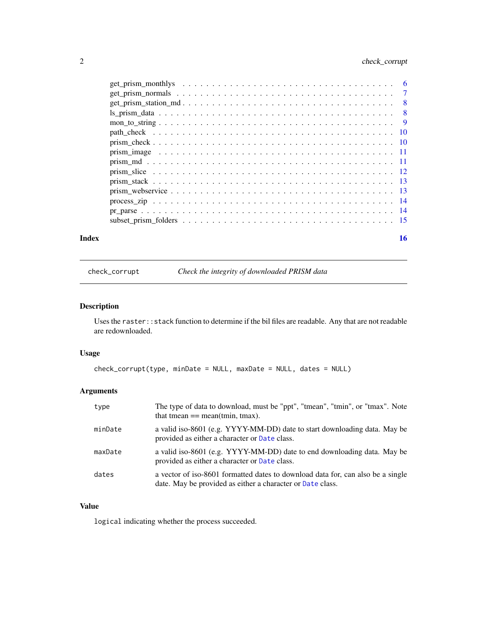# <span id="page-1-0"></span>2 check\_corrupt

| Index | 16 |
|-------|----|

check\_corrupt *Check the integrity of downloaded PRISM data*

# Description

Uses the raster:: stack function to determine if the bil files are readable. Any that are not readable are redownloaded.

# Usage

```
check_corrupt(type, minDate = NULL, maxDate = NULL, dates = NULL)
```
# Arguments

| type    | The type of data to download, must be "ppt", "tmean", "tmin", or "tmax". Note<br>that tmean $==$ mean(tmin, tmax).                            |
|---------|-----------------------------------------------------------------------------------------------------------------------------------------------|
| minDate | a valid iso-8601 (e.g. YYYY-MM-DD) date to start downloading data. May be<br>provided as either a character or Date class.                    |
| maxDate | a valid iso-8601 (e.g. YYYY-MM-DD) date to end downloading data. May be<br>provided as either a character or Date class.                      |
| dates   | a vector of iso-8601 formatted dates to download data for, can also be a single<br>date. May be provided as either a character or Date class. |

# Value

logical indicating whether the process succeeded.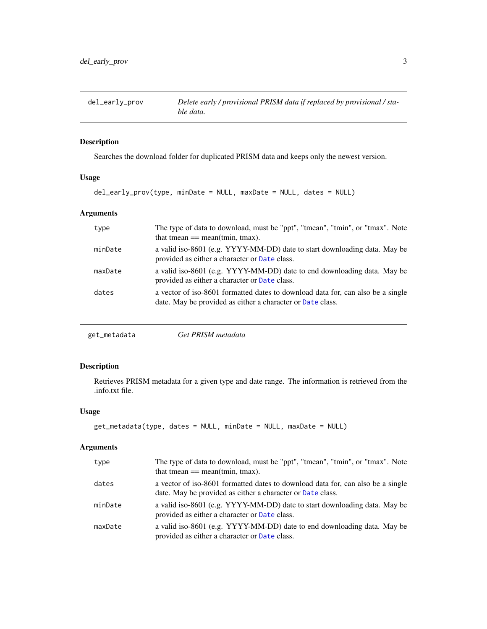<span id="page-2-0"></span>

Searches the download folder for duplicated PRISM data and keeps only the newest version.

#### Usage

```
del_early_prov(type, minDate = NULL, maxDate = NULL, dates = NULL)
```
## Arguments

| type    | The type of data to download, must be "ppt", "tmean", "tmin", or "tmax". Note<br>that tmean $==$ mean(tmin, tmax).                            |
|---------|-----------------------------------------------------------------------------------------------------------------------------------------------|
| minDate | a valid iso-8601 (e.g. YYYY-MM-DD) date to start downloading data. May be<br>provided as either a character or Date class.                    |
| maxDate | a valid iso-8601 (e.g. YYYY-MM-DD) date to end downloading data. May be<br>provided as either a character or Date class.                      |
| dates   | a vector of iso-8601 formatted dates to download data for, can also be a single<br>date. May be provided as either a character or Date class. |
|         |                                                                                                                                               |

| get_metadata | Get PRISM metadata |  |
|--------------|--------------------|--|
|--------------|--------------------|--|

# Description

Retrieves PRISM metadata for a given type and date range. The information is retrieved from the .info.txt file.

#### Usage

```
get_metadata(type, dates = NULL, minDate = NULL, maxDate = NULL)
```

| type    | The type of data to download, must be "ppt", "tmean", "tmin", or "tmax". Note<br>that tmean $==$ mean(tmin, tmax).                            |
|---------|-----------------------------------------------------------------------------------------------------------------------------------------------|
| dates   | a vector of iso-8601 formatted dates to download data for, can also be a single<br>date. May be provided as either a character or Date class. |
| minDate | a valid iso-8601 (e.g. YYYY-MM-DD) date to start downloading data. May be<br>provided as either a character or Date class.                    |
| maxDate | a valid iso-8601 (e.g. YYYY-MM-DD) date to end downloading data. May be<br>provided as either a character or Date class.                      |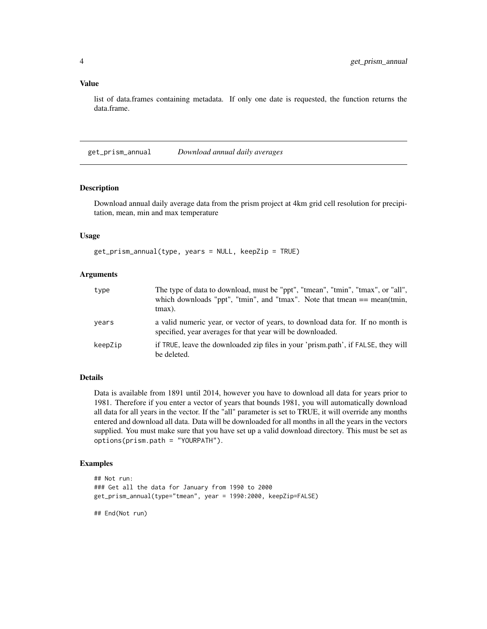#### <span id="page-3-0"></span>Value

list of data.frames containing metadata. If only one date is requested, the function returns the data.frame.

get\_prism\_annual *Download annual daily averages*

# Description

Download annual daily average data from the prism project at 4km grid cell resolution for precipitation, mean, min and max temperature

#### Usage

get\_prism\_annual(type, years = NULL, keepZip = TRUE)

# Arguments

| type    | The type of data to download, must be "ppt", "tmean", "tmin", "tmax", or "all",<br>which downloads "ppt", "tmin", and "tmax". Note that tmean $==$ mean(tmin,<br>$t$ max $)$ . |
|---------|--------------------------------------------------------------------------------------------------------------------------------------------------------------------------------|
| years   | a valid numeric year, or vector of years, to download data for. If no month is<br>specified, year averages for that year will be downloaded.                                   |
| keepZip | if TRUE, leave the downloaded zip files in your 'prism.path', if FALSE, they will<br>be deleted.                                                                               |

#### Details

Data is available from 1891 until 2014, however you have to download all data for years prior to 1981. Therefore if you enter a vector of years that bounds 1981, you will automatically download all data for all years in the vector. If the "all" parameter is set to TRUE, it will override any months entered and download all data. Data will be downloaded for all months in all the years in the vectors supplied. You must make sure that you have set up a valid download directory. This must be set as options(prism.path = "YOURPATH").

#### Examples

```
## Not run:
### Get all the data for January from 1990 to 2000
get_prism_annual(type="tmean", year = 1990:2000, keepZip=FALSE)
```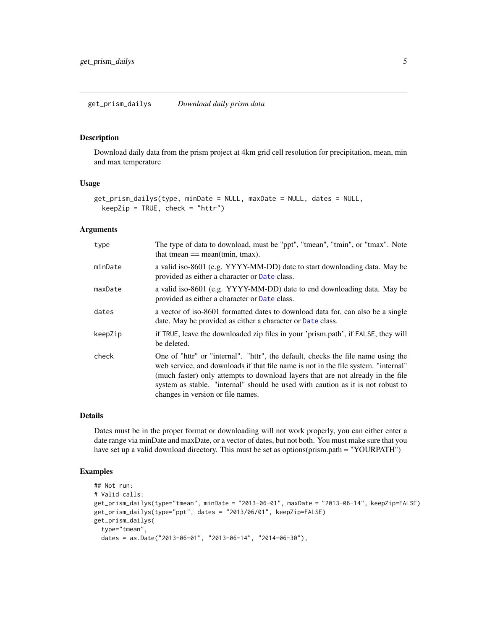<span id="page-4-0"></span>Download daily data from the prism project at 4km grid cell resolution for precipitation, mean, min and max temperature

#### Usage

```
get_prism_dailys(type, minDate = NULL, maxDate = NULL, dates = NULL,
 keepZip = TRUE, check = "http")
```
#### Arguments

| type    | The type of data to download, must be "ppt", "tmean", "tmin", or "tmax". Note<br>that tmean $==$ mean(tmin, tmax).                                                                                                                                                                                                                                                                |
|---------|-----------------------------------------------------------------------------------------------------------------------------------------------------------------------------------------------------------------------------------------------------------------------------------------------------------------------------------------------------------------------------------|
| minDate | a valid iso-8601 (e.g. YYYY-MM-DD) date to start downloading data. May be<br>provided as either a character or Date class.                                                                                                                                                                                                                                                        |
| maxDate | a valid iso-8601 (e.g. YYYY-MM-DD) date to end downloading data. May be<br>provided as either a character or Date class.                                                                                                                                                                                                                                                          |
| dates   | a vector of iso-8601 formatted dates to download data for, can also be a single<br>date. May be provided as either a character or Date class.                                                                                                                                                                                                                                     |
| keepZip | if TRUE, leave the downloaded zip files in your 'prism.path', if FALSE, they will<br>be deleted.                                                                                                                                                                                                                                                                                  |
| check   | One of "httr" or "internal". "httr", the default, checks the file name using the<br>web service, and downloads if that file name is not in the file system. "internal"<br>(much faster) only attempts to download layers that are not already in the file<br>system as stable. "internal" should be used with caution as it is not robust to<br>changes in version or file names. |

#### Details

Dates must be in the proper format or downloading will not work properly, you can either enter a date range via minDate and maxDate, or a vector of dates, but not both. You must make sure that you have set up a valid download directory. This must be set as options(prism.path = "YOURPATH")

# Examples

```
## Not run:
# Valid calls:
get_prism_dailys(type="tmean", minDate = "2013-06-01", maxDate = "2013-06-14", keepZip=FALSE)
get_prism_dailys(type="ppt", dates = "2013/06/01", keepZip=FALSE)
get_prism_dailys(
  type="tmean",
  dates = as.Date("2013-06-01", "2013-06-14", "2014-06-30"),
```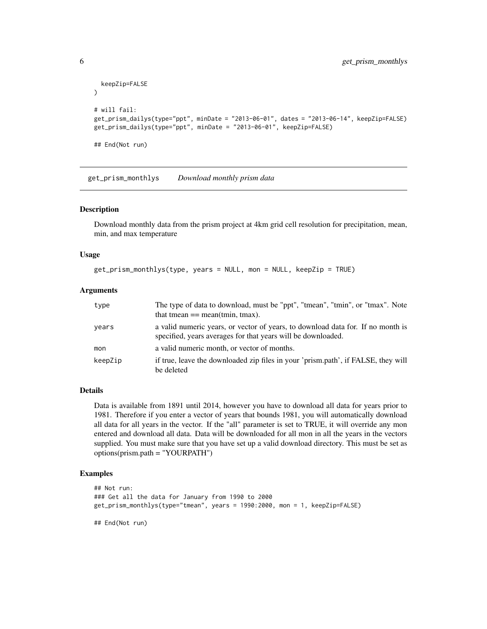```
keepZip=FALSE
)
# will fail:
get_prism_dailys(type="ppt", minDate = "2013-06-01", dates = "2013-06-14", keepZip=FALSE)
get_prism_dailys(type="ppt", minDate = "2013-06-01", keepZip=FALSE)
## End(Not run)
```
get\_prism\_monthlys *Download monthly prism data*

#### Description

Download monthly data from the prism project at 4km grid cell resolution for precipitation, mean, min, and max temperature

#### Usage

```
get_prism_monthlys(type, years = NULL, mon = NULL, keepZip = TRUE)
```
#### Arguments

| type    | The type of data to download, must be "ppt", "tmean", "tmin", or "tmax". Note<br>that tmean $==$ mean(tmin, tmax).                              |
|---------|-------------------------------------------------------------------------------------------------------------------------------------------------|
| years   | a valid numeric years, or vector of years, to download data for. If no month is<br>specified, years averages for that years will be downloaded. |
| mon     | a valid numeric month, or vector of months.                                                                                                     |
| keepZip | if true, leave the downloaded zip files in your 'prism.path', if FALSE, they will<br>be deleted                                                 |

#### Details

Data is available from 1891 until 2014, however you have to download all data for years prior to 1981. Therefore if you enter a vector of years that bounds 1981, you will automatically download all data for all years in the vector. If the "all" parameter is set to TRUE, it will override any mon entered and download all data. Data will be downloaded for all mon in all the years in the vectors supplied. You must make sure that you have set up a valid download directory. This must be set as options(prism.path = "YOURPATH")

#### Examples

```
## Not run:
### Get all the data for January from 1990 to 2000
get_prism_monthlys(type="tmean", years = 1990:2000, mon = 1, keepZip=FALSE)
```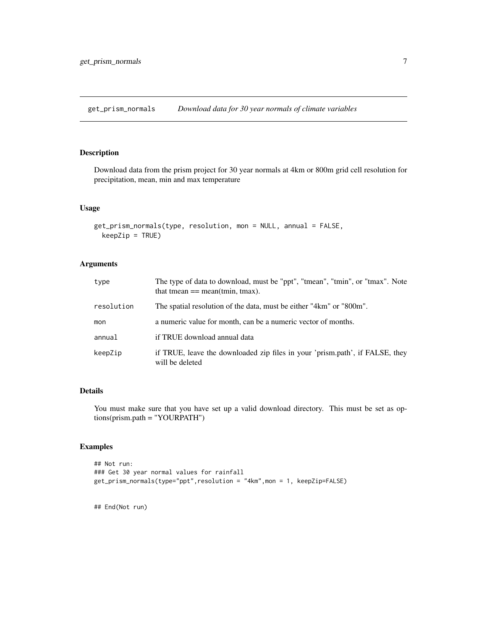<span id="page-6-0"></span>get\_prism\_normals *Download data for 30 year normals of climate variables*

# Description

Download data from the prism project for 30 year normals at 4km or 800m grid cell resolution for precipitation, mean, min and max temperature

## Usage

```
get_prism_normals(type, resolution, mon = NULL, annual = FALSE,
 keepZip = TRUE)
```
#### Arguments

| type       | The type of data to download, must be "ppt", "tmean", "tmin", or "tmax". Note<br>that tmean $==$ mean(tmin, tmax). |
|------------|--------------------------------------------------------------------------------------------------------------------|
| resolution | The spatial resolution of the data, must be either "4km" or "800m".                                                |
| mon        | a numeric value for month, can be a numeric vector of months.                                                      |
| annual     | if TRUE download annual data                                                                                       |
| keepZip    | if TRUE, leave the downloaded zip files in your 'prism.path', if FALSE, they<br>will be deleted                    |

# Details

You must make sure that you have set up a valid download directory. This must be set as options(prism.path = "YOURPATH")

#### Examples

```
## Not run:
### Get 30 year normal values for rainfall
get_prism_normals(type="ppt",resolution = "4km",mon = 1, keepZip=FALSE)
```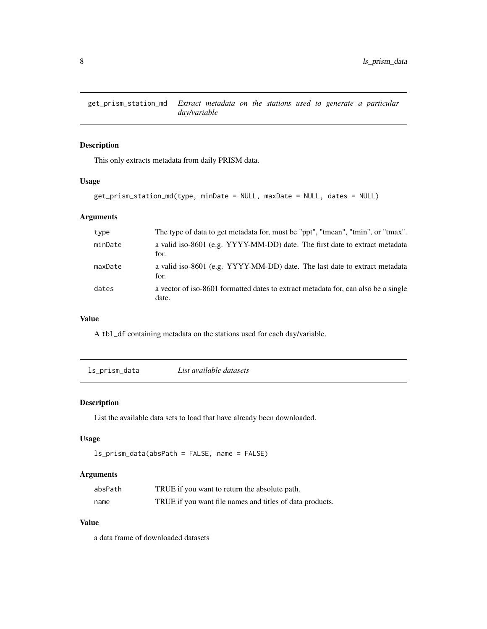<span id="page-7-0"></span>get\_prism\_station\_md *Extract metadata on the stations used to generate a particular day/variable*

#### Description

This only extracts metadata from daily PRISM data.

#### Usage

```
get_prism_station_md(type, minDate = NULL, maxDate = NULL, dates = NULL)
```
### Arguments

| type    | The type of data to get metadata for, must be "ppt", "tmean", "tmin", or "tmax".            |
|---------|---------------------------------------------------------------------------------------------|
| minDate | a valid iso-8601 (e.g. YYYY-MM-DD) date. The first date to extract metadata<br>for.         |
| maxDate | a valid iso-8601 (e.g. YYYY-MM-DD) date. The last date to extract metadata<br>for.          |
| dates   | a vector of iso-8601 formatted dates to extract metadata for, can also be a single<br>date. |

#### Value

A tbl\_df containing metadata on the stations used for each day/variable.

<span id="page-7-1"></span>ls\_prism\_data *List available datasets*

#### Description

List the available data sets to load that have already been downloaded.

#### Usage

```
ls_prism_data(absPath = FALSE, name = FALSE)
```
# Arguments

| absPath | TRUE if you want to return the absolute path.            |
|---------|----------------------------------------------------------|
| name    | TRUE if you want file names and titles of data products. |

## Value

a data frame of downloaded datasets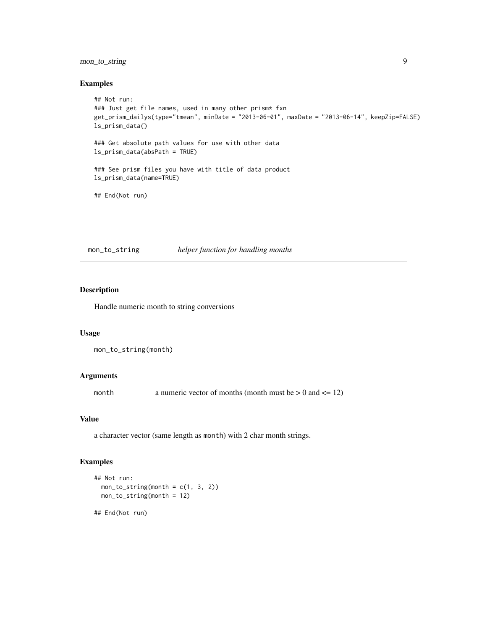# <span id="page-8-0"></span>mon\_to\_string 9

#### Examples

```
## Not run:
### Just get file names, used in many other prism* fxn
get_prism_dailys(type="tmean", minDate = "2013-06-01", maxDate = "2013-06-14", keepZip=FALSE)
ls_prism_data()
### Get absolute path values for use with other data
ls_prism_data(absPath = TRUE)
### See prism files you have with title of data product
ls_prism_data(name=TRUE)
## End(Not run)
```
mon\_to\_string *helper function for handling months*

#### Description

Handle numeric month to string conversions

#### Usage

```
mon_to_string(month)
```
# Arguments

month a numeric vector of months (month must be  $> 0$  and  $\leq 12$ )

#### Value

a character vector (same length as month) with 2 char month strings.

#### Examples

```
## Not run:
 mon\_to\_string(month = c(1, 3, 2))mon_to_string(month = 12)
## End(Not run)
```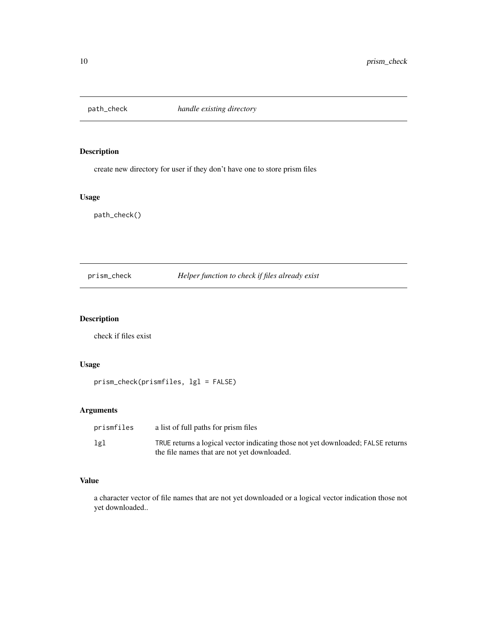<span id="page-9-0"></span>

create new directory for user if they don't have one to store prism files

# Usage

path\_check()

prism\_check *Helper function to check if files already exist*

# Description

check if files exist

# Usage

prism\_check(prismfiles, lgl = FALSE)

# Arguments

| prismfiles | a list of full paths for prism files                                             |
|------------|----------------------------------------------------------------------------------|
| lgl        | TRUE returns a logical vector indicating those not yet downloaded; FALSE returns |
|            | the file names that are not yet downloaded.                                      |

#### Value

a character vector of file names that are not yet downloaded or a logical vector indication those not yet downloaded..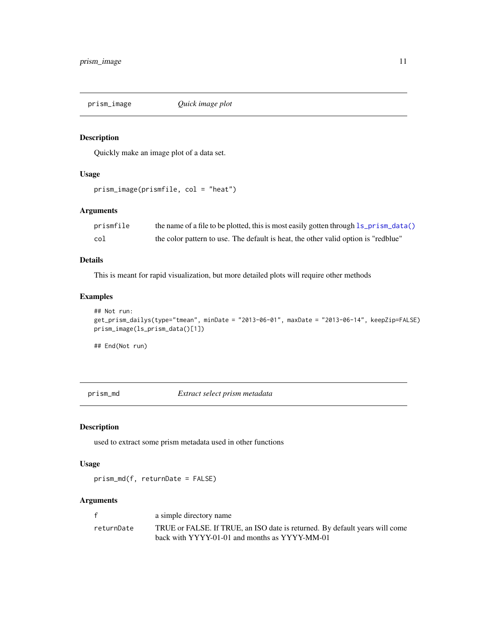<span id="page-10-0"></span>

Quickly make an image plot of a data set.

# Usage

```
prism_image(prismfile, col = "heat")
```
# Arguments

| prismfile | the name of a file to be plotted, this is most easily gotten through 1s_prism_data() |
|-----------|--------------------------------------------------------------------------------------|
| col       | the color pattern to use. The default is heat, the other valid option is "redblue"   |

#### Details

This is meant for rapid visualization, but more detailed plots will require other methods

# Examples

```
## Not run:
get_prism_dailys(type="tmean", minDate = "2013-06-01", maxDate = "2013-06-14", keepZip=FALSE)
prism_image(ls_prism_data()[1])
```
## End(Not run)

prism\_md *Extract select prism metadata*

#### Description

used to extract some prism metadata used in other functions

#### Usage

prism\_md(f, returnDate = FALSE)

|            | a simple directory name                                                     |
|------------|-----------------------------------------------------------------------------|
| returnDate | TRUE or FALSE. If TRUE, an ISO date is returned. By default years will come |
|            | back with YYYY-01-01 and months as YYYY-MM-01                               |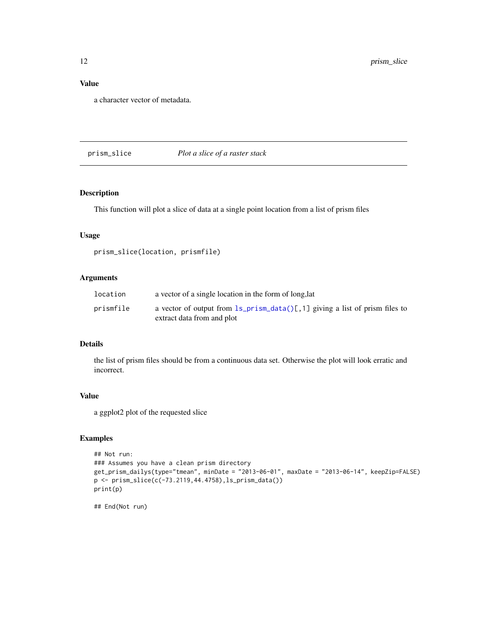# Value

a character vector of metadata.

# prism\_slice *Plot a slice of a raster stack*

# Description

This function will plot a slice of data at a single point location from a list of prism files

# Usage

```
prism_slice(location, prismfile)
```
# Arguments

| location  | a vector of a single location in the form of long, lat                           |
|-----------|----------------------------------------------------------------------------------|
| prismfile | a vector of output from $ls\_prism\_data()[, 1]$ giving a list of prism files to |
|           | extract data from and plot                                                       |

#### Details

the list of prism files should be from a continuous data set. Otherwise the plot will look erratic and incorrect.

#### Value

a ggplot2 plot of the requested slice

# Examples

```
## Not run:
### Assumes you have a clean prism directory
get_prism_dailys(type="tmean", minDate = "2013-06-01", maxDate = "2013-06-14", keepZip=FALSE)
p <- prism_slice(c(-73.2119,44.4758),ls_prism_data())
print(p)
```
<span id="page-11-0"></span>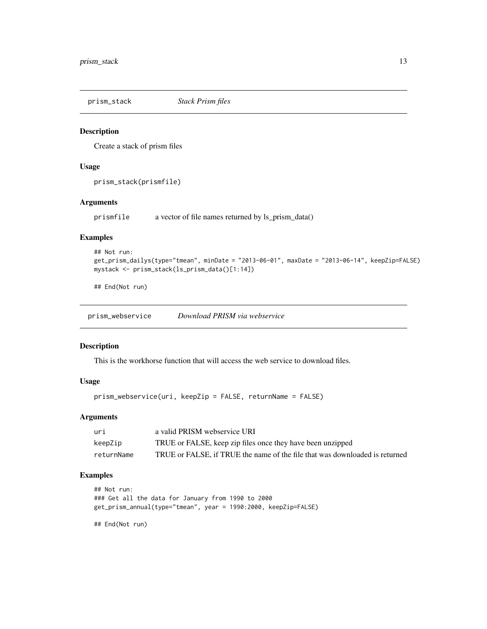<span id="page-12-0"></span>prism\_stack *Stack Prism files*

#### Description

Create a stack of prism files

# Usage

prism\_stack(prismfile)

### Arguments

prismfile a vector of file names returned by ls\_prism\_data()

#### Examples

```
## Not run:
get_prism_dailys(type="tmean", minDate = "2013-06-01", maxDate = "2013-06-14", keepZip=FALSE)
mystack <- prism_stack(ls_prism_data()[1:14])
```
## End(Not run)

prism\_webservice *Download PRISM via webservice*

## Description

This is the workhorse function that will access the web service to download files.

#### Usage

prism\_webservice(uri, keepZip = FALSE, returnName = FALSE)

#### Arguments

| uri        | a valid PRISM webservice URI                                                |
|------------|-----------------------------------------------------------------------------|
| keepZip    | TRUE or FALSE, keep zip files once they have been unzipped                  |
| returnName | TRUE or FALSE, if TRUE the name of the file that was downloaded is returned |

# Examples

```
## Not run:
### Get all the data for January from 1990 to 2000
get_prism_annual(type="tmean", year = 1990:2000, keepZip=FALSE)
```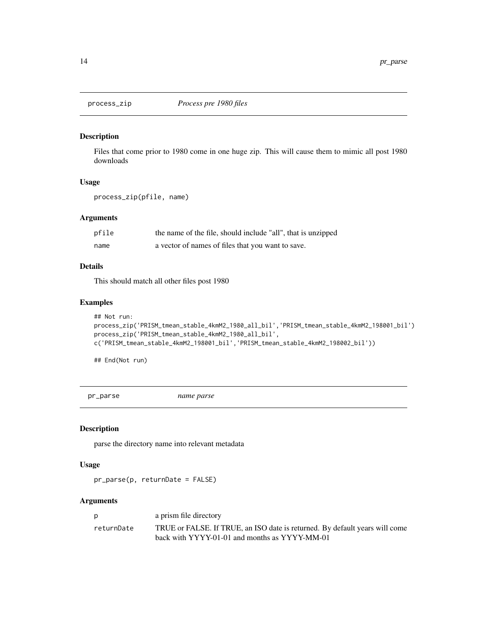<span id="page-13-0"></span>

Files that come prior to 1980 come in one huge zip. This will cause them to mimic all post 1980 downloads

#### Usage

process\_zip(pfile, name)

## Arguments

| pfile | the name of the file, should include "all", that is unzipped |
|-------|--------------------------------------------------------------|
| name  | a vector of names of files that you want to save.            |

### Details

This should match all other files post 1980

#### Examples

```
## Not run:
process_zip('PRISM_tmean_stable_4kmM2_1980_all_bil','PRISM_tmean_stable_4kmM2_198001_bil')
process_zip('PRISM_tmean_stable_4kmM2_1980_all_bil',
c('PRISM_tmean_stable_4kmM2_198001_bil','PRISM_tmean_stable_4kmM2_198002_bil'))
```
## End(Not run)

pr\_parse *name parse*

#### Description

parse the directory name into relevant metadata

#### Usage

pr\_parse(p, returnDate = FALSE)

| D          | a prism file directory                                                      |
|------------|-----------------------------------------------------------------------------|
| returnDate | TRUE or FALSE. If TRUE, an ISO date is returned. By default years will come |
|            | back with YYYY-01-01 and months as YYYY-MM-01                               |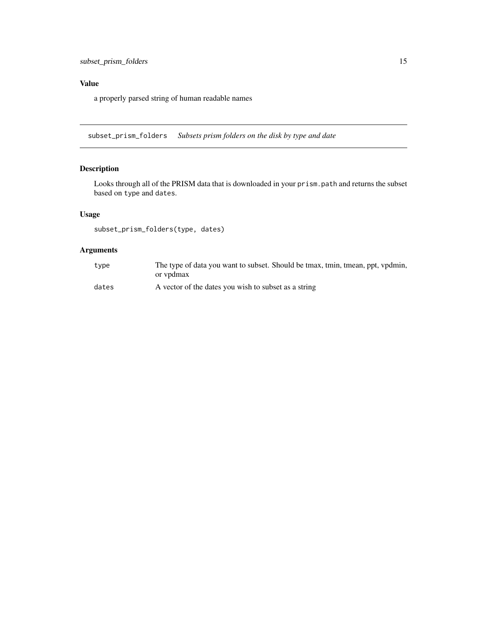# <span id="page-14-0"></span>Value

a properly parsed string of human readable names

subset\_prism\_folders *Subsets prism folders on the disk by type and date*

# Description

Looks through all of the PRISM data that is downloaded in your prism.path and returns the subset based on type and dates.

# Usage

```
subset_prism_folders(type, dates)
```

| type  | The type of data you want to subset. Should be tmax, tmin, tmean, ppt, vpdmin, |
|-------|--------------------------------------------------------------------------------|
|       | or vpdmax                                                                      |
| dates | A vector of the dates you wish to subset as a string                           |